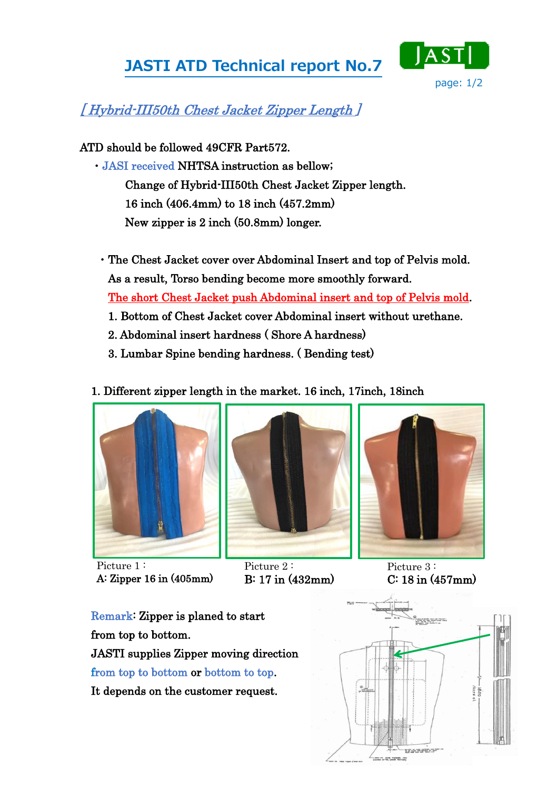## JASTI ATD Technical report No.7



## [ Hybrid-III50th Chest Jacket Zipper Length ]

ATD should be followed 49CFR Part572.

- ・JASI received NHTSA instruction as bellow; Change of Hybrid-III50th Chest Jacket Zipper length. 16 inch (406.4mm) to 18 inch (457.2mm) New zipper is 2 inch (50.8mm) longer.
	- ・The Chest Jacket cover over Abdominal Insert and top of Pelvis mold. As a result, Torso bending become more smoothly forward. The short Chest Jacket push Abdominal insert and top of Pelvis mold.
		- 1. Bottom of Chest Jacket cover Abdominal insert without urethane.
		- 2. Abdominal insert hardness ( Shore A hardness)
		- 3. Lumbar Spine bending hardness. ( Bending test)
- 1. Different zipper length in the market. 16 inch, 17inch, 18inch



Picture 1: A: Zipper 16 in (405mm)



Picture 2: B: 17 in (432mm)



Picture 3: C: 18 in (457mm)

Remark: Zipper is planed to start from top to bottom. JASTI supplies Zipper moving direction from top to bottom or bottom to top. It depends on the customer request.